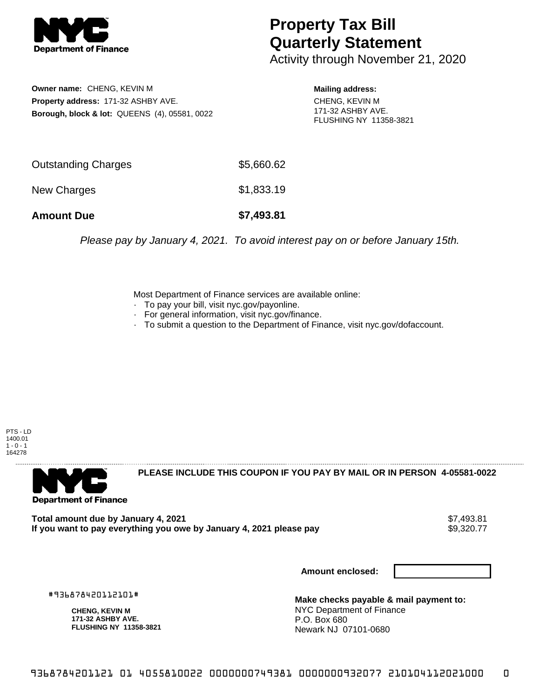

## **Property Tax Bill Quarterly Statement**

Activity through November 21, 2020

**Owner name:** CHENG, KEVIN M **Property address:** 171-32 ASHBY AVE. **Borough, block & lot:** QUEENS (4), 05581, 0022 **Mailing address:**

CHENG, KEVIN M 171-32 ASHBY AVE. FLUSHING NY 11358-3821

| <b>Amount Due</b>   | \$7,493.81 |
|---------------------|------------|
| New Charges         | \$1,833.19 |
| Outstanding Charges | \$5,660.62 |

Please pay by January 4, 2021. To avoid interest pay on or before January 15th.

Most Department of Finance services are available online:

- · To pay your bill, visit nyc.gov/payonline.
- For general information, visit nyc.gov/finance.
- · To submit a question to the Department of Finance, visit nyc.gov/dofaccount.

PTS - LD 1400.01  $1 - 0 - 1$ 164278



**PLEASE INCLUDE THIS COUPON IF YOU PAY BY MAIL OR IN PERSON 4-05581-0022** 

**Total amount due by January 4, 2021**<br>If you want to pay everything you owe by January 4, 2021 please pay **show that the set of the set of the set of** If you want to pay everything you owe by January 4, 2021 please pay

**Amount enclosed:**

#936878420112101#

**CHENG, KEVIN M 171-32 ASHBY AVE. FLUSHING NY 11358-3821**

**Make checks payable & mail payment to:** NYC Department of Finance P.O. Box 680 Newark NJ 07101-0680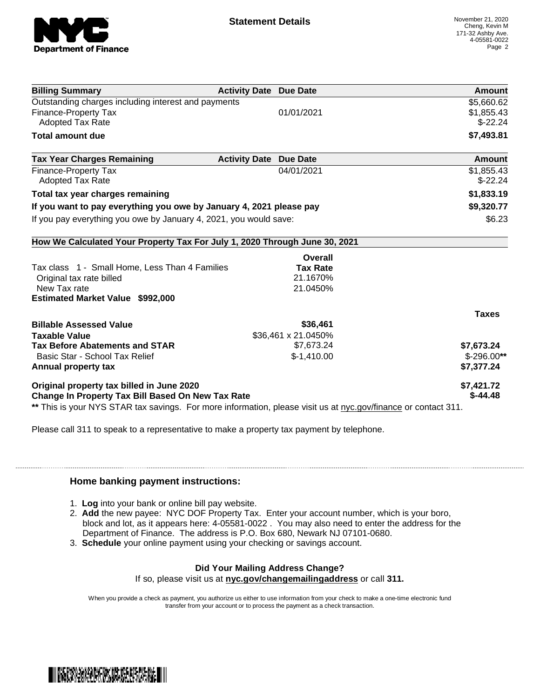

| <b>Billing Summary</b>                                                                                         | <b>Activity Date Due Date</b>           | Amount       |
|----------------------------------------------------------------------------------------------------------------|-----------------------------------------|--------------|
| Outstanding charges including interest and payments                                                            | \$5,660.62                              |              |
| Finance-Property Tax                                                                                           | 01/01/2021                              | \$1,855.43   |
| <b>Adopted Tax Rate</b>                                                                                        |                                         | $$-22.24$    |
| <b>Total amount due</b>                                                                                        |                                         | \$7,493.81   |
| <b>Tax Year Charges Remaining</b>                                                                              | <b>Activity Date</b><br><b>Due Date</b> | Amount       |
| <b>Finance-Property Tax</b>                                                                                    | 04/01/2021                              | \$1,855.43   |
| <b>Adopted Tax Rate</b>                                                                                        |                                         | $$-22.24$    |
| Total tax year charges remaining                                                                               |                                         | \$1,833.19   |
| If you want to pay everything you owe by January 4, 2021 please pay                                            |                                         | \$9,320.77   |
| If you pay everything you owe by January 4, 2021, you would save:                                              |                                         | \$6.23       |
| How We Calculated Your Property Tax For July 1, 2020 Through June 30, 2021                                     |                                         |              |
|                                                                                                                | Overall                                 |              |
| Tax class 1 - Small Home, Less Than 4 Families                                                                 | <b>Tax Rate</b>                         |              |
| Original tax rate billed                                                                                       | 21.1670%                                |              |
| New Tax rate                                                                                                   | 21.0450%                                |              |
| <b>Estimated Market Value \$992,000</b>                                                                        |                                         |              |
|                                                                                                                |                                         | <b>Taxes</b> |
| <b>Billable Assessed Value</b>                                                                                 | \$36,461                                |              |
| <b>Taxable Value</b>                                                                                           | \$36,461 x 21.0450%                     |              |
| <b>Tax Before Abatements and STAR</b>                                                                          | \$7,673.24                              | \$7,673.24   |
| Basic Star - School Tax Relief                                                                                 | $$-1,410.00$                            | $$-296.00**$ |
| Annual property tax                                                                                            |                                         | \$7,377.24   |
| Original property tax billed in June 2020                                                                      |                                         | \$7,421.72   |
| <b>Change In Property Tax Bill Based On New Tax Rate</b>                                                       |                                         | $$-44.48$    |
| ** This is your NYS STAR tax savings. For more information, please visit us at nyc.gov/finance or contact 311. |                                         |              |

Please call 311 to speak to a representative to make a property tax payment by telephone.

## **Home banking payment instructions:**

- 1. **Log** into your bank or online bill pay website.
- 2. **Add** the new payee: NYC DOF Property Tax. Enter your account number, which is your boro, block and lot, as it appears here: 4-05581-0022 . You may also need to enter the address for the Department of Finance. The address is P.O. Box 680, Newark NJ 07101-0680.
- 3. **Schedule** your online payment using your checking or savings account.

## **Did Your Mailing Address Change?**

If so, please visit us at **nyc.gov/changemailingaddress** or call **311.**

When you provide a check as payment, you authorize us either to use information from your check to make a one-time electronic fund transfer from your account or to process the payment as a check transaction.